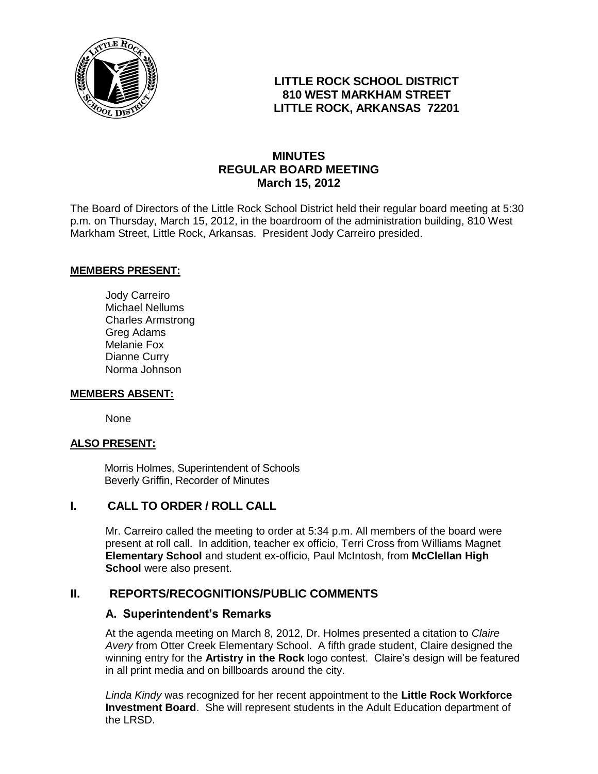

# **LITTLE ROCK SCHOOL DISTRICT 810 WEST MARKHAM STREET LITTLE ROCK, ARKANSAS 72201**

# **MINUTES REGULAR BOARD MEETING March 15, 2012**

The Board of Directors of the Little Rock School District held their regular board meeting at 5:30 p.m. on Thursday, March 15, 2012, in the boardroom of the administration building, 810 West Markham Street, Little Rock, Arkansas. President Jody Carreiro presided.

#### **MEMBERS PRESENT:**

Jody Carreiro Michael Nellums Charles Armstrong Greg Adams Melanie Fox Dianne Curry Norma Johnson

#### **MEMBERS ABSENT:**

None

#### **ALSO PRESENT:**

 Morris Holmes, Superintendent of Schools Beverly Griffin, Recorder of Minutes

## **I. CALL TO ORDER / ROLL CALL**

Mr. Carreiro called the meeting to order at 5:34 p.m. All members of the board were present at roll call. In addition, teacher ex officio, Terri Cross from Williams Magnet **Elementary School** and student ex-officio, Paul McIntosh, from **McClellan High School** were also present.

#### **II. REPORTS/RECOGNITIONS/PUBLIC COMMENTS**

#### **A. Superintendent's Remarks**

At the agenda meeting on March 8, 2012, Dr. Holmes presented a citation to *Claire Avery* from Otter Creek Elementary School. A fifth grade student, Claire designed the winning entry for the **Artistry in the Rock** logo contest. Claire's design will be featured in all print media and on billboards around the city.

*Linda Kindy* was recognized for her recent appointment to the **Little Rock Workforce Investment Board**. She will represent students in the Adult Education department of the LRSD.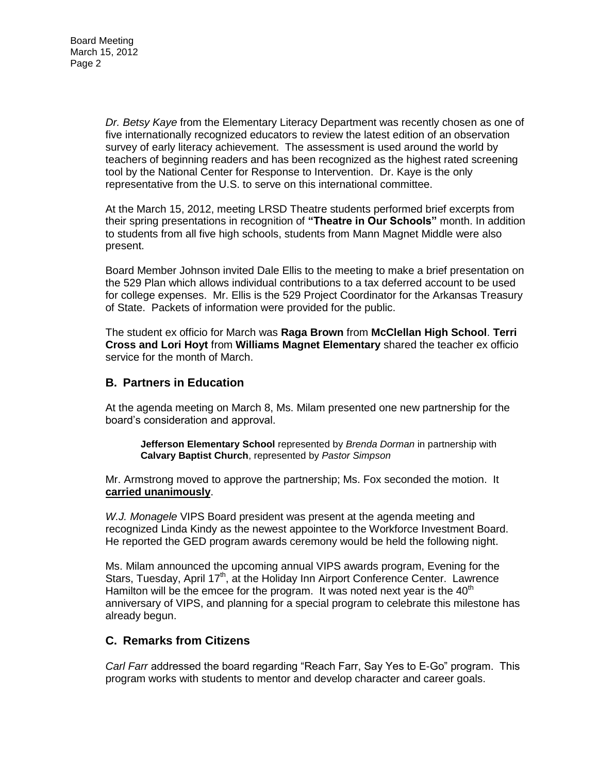*Dr. Betsy Kaye* from the Elementary Literacy Department was recently chosen as one of five internationally recognized educators to review the latest edition of an observation survey of early literacy achievement. The assessment is used around the world by teachers of beginning readers and has been recognized as the highest rated screening tool by the National Center for Response to Intervention. Dr. Kaye is the only representative from the U.S. to serve on this international committee.

At the March 15, 2012, meeting LRSD Theatre students performed brief excerpts from their spring presentations in recognition of **"Theatre in Our Schools"** month. In addition to students from all five high schools, students from Mann Magnet Middle were also present.

Board Member Johnson invited Dale Ellis to the meeting to make a brief presentation on the 529 Plan which allows individual contributions to a tax deferred account to be used for college expenses. Mr. Ellis is the 529 Project Coordinator for the Arkansas Treasury of State. Packets of information were provided for the public.

The student ex officio for March was **Raga Brown** from **McClellan High School**. **Terri Cross and Lori Hoyt** from **Williams Magnet Elementary** shared the teacher ex officio service for the month of March.

#### **B. Partners in Education**

At the agenda meeting on March 8, Ms. Milam presented one new partnership for the board's consideration and approval.

**Jefferson Elementary School** represented by *Brenda Dorman* in partnership with **Calvary Baptist Church**, represented by *Pastor Simpson*

Mr. Armstrong moved to approve the partnership; Ms. Fox seconded the motion. It **carried unanimously**.

*W.J. Monagele* VIPS Board president was present at the agenda meeting and recognized Linda Kindy as the newest appointee to the Workforce Investment Board. He reported the GED program awards ceremony would be held the following night.

Ms. Milam announced the upcoming annual VIPS awards program, Evening for the Stars, Tuesday, April 17<sup>th</sup>, at the Holiday Inn Airport Conference Center. Lawrence Hamilton will be the emcee for the program. It was noted next year is the  $40<sup>th</sup>$ anniversary of VIPS, and planning for a special program to celebrate this milestone has already begun.

## **C. Remarks from Citizens**

*Carl Farr* addressed the board regarding "Reach Farr, Say Yes to E-Go" program. This program works with students to mentor and develop character and career goals.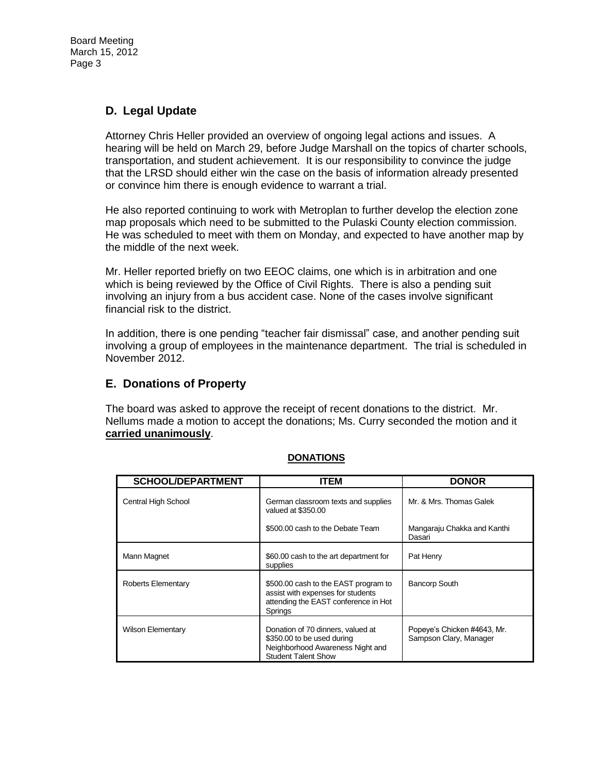# **D. Legal Update**

Attorney Chris Heller provided an overview of ongoing legal actions and issues. A hearing will be held on March 29, before Judge Marshall on the topics of charter schools, transportation, and student achievement. It is our responsibility to convince the judge that the LRSD should either win the case on the basis of information already presented or convince him there is enough evidence to warrant a trial.

He also reported continuing to work with Metroplan to further develop the election zone map proposals which need to be submitted to the Pulaski County election commission. He was scheduled to meet with them on Monday, and expected to have another map by the middle of the next week.

Mr. Heller reported briefly on two EEOC claims, one which is in arbitration and one which is being reviewed by the Office of Civil Rights. There is also a pending suit involving an injury from a bus accident case. None of the cases involve significant financial risk to the district.

In addition, there is one pending "teacher fair dismissal" case, and another pending suit involving a group of employees in the maintenance department. The trial is scheduled in November 2012.

#### **E. Donations of Property**

The board was asked to approve the receipt of recent donations to the district. Mr. Nellums made a motion to accept the donations; Ms. Curry seconded the motion and it **carried unanimously**.

| <b>SCHOOL/DEPARTMENT</b> | ITEM                                                                                                                              | <b>DONOR</b>                                          |
|--------------------------|-----------------------------------------------------------------------------------------------------------------------------------|-------------------------------------------------------|
| Central High School      | German classroom texts and supplies<br>valued at \$350.00                                                                         | Mr. & Mrs. Thomas Galek                               |
|                          | \$500.00 cash to the Debate Team                                                                                                  | Mangaraju Chakka and Kanthi<br>Dasari                 |
| Mann Magnet              | \$60.00 cash to the art department for<br>supplies                                                                                | Pat Henry                                             |
| Roberts Elementary       | \$500.00 cash to the EAST program to<br>assist with expenses for students<br>attending the EAST conference in Hot<br>Springs      | <b>Bancorp South</b>                                  |
| <b>Wilson Elementary</b> | Donation of 70 dinners, valued at<br>\$350.00 to be used during<br>Neighborhood Awareness Night and<br><b>Student Talent Show</b> | Popeye's Chicken #4643, Mr.<br>Sampson Clary, Manager |

#### **DONATIONS**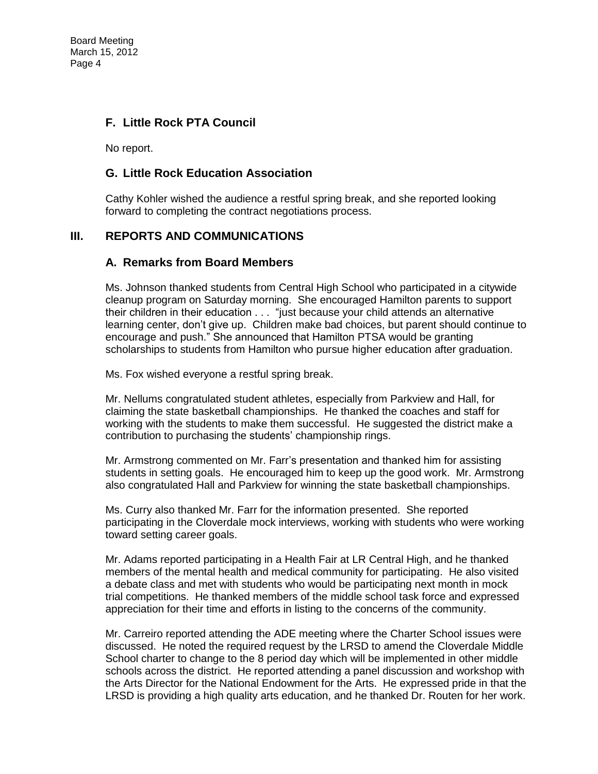# **F. Little Rock PTA Council**

No report.

#### **G. Little Rock Education Association**

Cathy Kohler wished the audience a restful spring break, and she reported looking forward to completing the contract negotiations process.

## **III. REPORTS AND COMMUNICATIONS**

#### **A. Remarks from Board Members**

Ms. Johnson thanked students from Central High School who participated in a citywide cleanup program on Saturday morning. She encouraged Hamilton parents to support their children in their education . . . "just because your child attends an alternative learning center, don't give up. Children make bad choices, but parent should continue to encourage and push." She announced that Hamilton PTSA would be granting scholarships to students from Hamilton who pursue higher education after graduation.

Ms. Fox wished everyone a restful spring break.

Mr. Nellums congratulated student athletes, especially from Parkview and Hall, for claiming the state basketball championships. He thanked the coaches and staff for working with the students to make them successful. He suggested the district make a contribution to purchasing the students' championship rings.

Mr. Armstrong commented on Mr. Farr's presentation and thanked him for assisting students in setting goals. He encouraged him to keep up the good work. Mr. Armstrong also congratulated Hall and Parkview for winning the state basketball championships.

Ms. Curry also thanked Mr. Farr for the information presented. She reported participating in the Cloverdale mock interviews, working with students who were working toward setting career goals.

Mr. Adams reported participating in a Health Fair at LR Central High, and he thanked members of the mental health and medical community for participating. He also visited a debate class and met with students who would be participating next month in mock trial competitions. He thanked members of the middle school task force and expressed appreciation for their time and efforts in listing to the concerns of the community.

Mr. Carreiro reported attending the ADE meeting where the Charter School issues were discussed. He noted the required request by the LRSD to amend the Cloverdale Middle School charter to change to the 8 period day which will be implemented in other middle schools across the district. He reported attending a panel discussion and workshop with the Arts Director for the National Endowment for the Arts. He expressed pride in that the LRSD is providing a high quality arts education, and he thanked Dr. Routen for her work.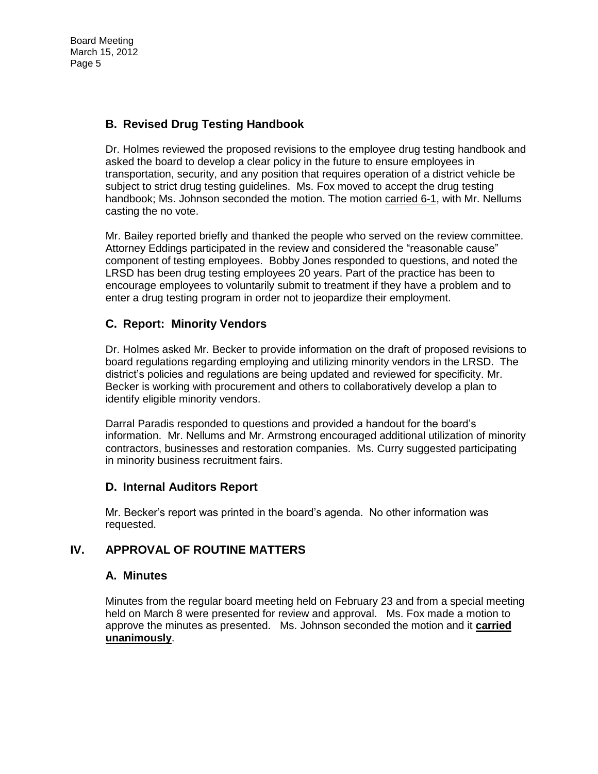# **B. Revised Drug Testing Handbook**

Dr. Holmes reviewed the proposed revisions to the employee drug testing handbook and asked the board to develop a clear policy in the future to ensure employees in transportation, security, and any position that requires operation of a district vehicle be subject to strict drug testing guidelines. Ms. Fox moved to accept the drug testing handbook; Ms. Johnson seconded the motion. The motion carried 6-1, with Mr. Nellums casting the no vote.

Mr. Bailey reported briefly and thanked the people who served on the review committee. Attorney Eddings participated in the review and considered the "reasonable cause" component of testing employees. Bobby Jones responded to questions, and noted the LRSD has been drug testing employees 20 years. Part of the practice has been to encourage employees to voluntarily submit to treatment if they have a problem and to enter a drug testing program in order not to jeopardize their employment.

# **C. Report: Minority Vendors**

Dr. Holmes asked Mr. Becker to provide information on the draft of proposed revisions to board regulations regarding employing and utilizing minority vendors in the LRSD. The district's policies and regulations are being updated and reviewed for specificity. Mr. Becker is working with procurement and others to collaboratively develop a plan to identify eligible minority vendors.

Darral Paradis responded to questions and provided a handout for the board's information. Mr. Nellums and Mr. Armstrong encouraged additional utilization of minority contractors, businesses and restoration companies. Ms. Curry suggested participating in minority business recruitment fairs.

## **D. Internal Auditors Report**

Mr. Becker's report was printed in the board's agenda. No other information was requested.

# **IV. APPROVAL OF ROUTINE MATTERS**

## **A. Minutes**

Minutes from the regular board meeting held on February 23 and from a special meeting held on March 8 were presented for review and approval. Ms. Fox made a motion to approve the minutes as presented. Ms. Johnson seconded the motion and it **carried unanimously**.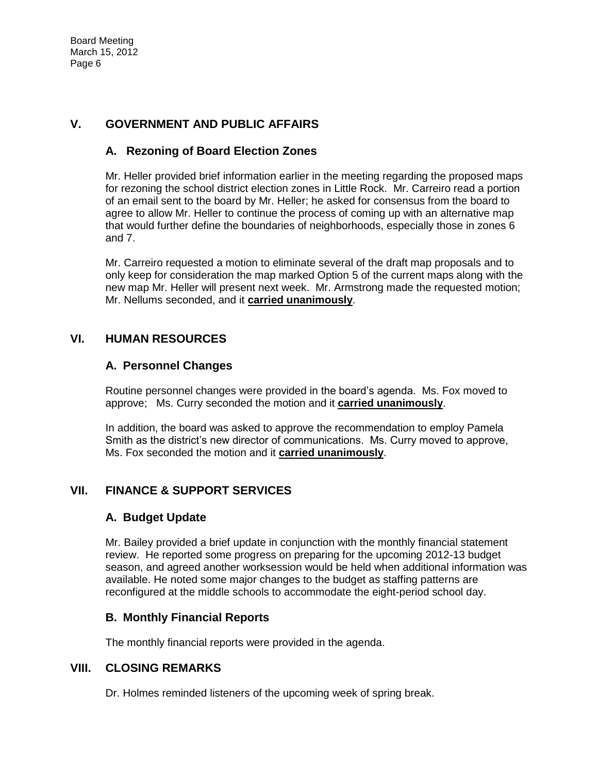# **V. GOVERNMENT AND PUBLIC AFFAIRS**

# **A. Rezoning of Board Election Zones**

Mr. Heller provided brief information earlier in the meeting regarding the proposed maps for rezoning the school district election zones in Little Rock. Mr. Carreiro read a portion of an email sent to the board by Mr. Heller; he asked for consensus from the board to agree to allow Mr. Heller to continue the process of coming up with an alternative map that would further define the boundaries of neighborhoods, especially those in zones 6 and 7.

Mr. Carreiro requested a motion to eliminate several of the draft map proposals and to only keep for consideration the map marked Option 5 of the current maps along with the new map Mr. Heller will present next week. Mr. Armstrong made the requested motion; Mr. Nellums seconded, and it **carried unanimously**.

## **VI. HUMAN RESOURCES**

## **A. Personnel Changes**

Routine personnel changes were provided in the board's agenda. Ms. Fox moved to approve; Ms. Curry seconded the motion and it **carried unanimously**.

In addition, the board was asked to approve the recommendation to employ Pamela Smith as the district's new director of communications. Ms. Curry moved to approve, Ms. Fox seconded the motion and it **carried unanimously**.

# **VII. FINANCE & SUPPORT SERVICES**

## **A. Budget Update**

Mr. Bailey provided a brief update in conjunction with the monthly financial statement review. He reported some progress on preparing for the upcoming 2012-13 budget season, and agreed another worksession would be held when additional information was available. He noted some major changes to the budget as staffing patterns are reconfigured at the middle schools to accommodate the eight-period school day.

## **B. Monthly Financial Reports**

The monthly financial reports were provided in the agenda.

# **VIII. CLOSING REMARKS**

Dr. Holmes reminded listeners of the upcoming week of spring break.